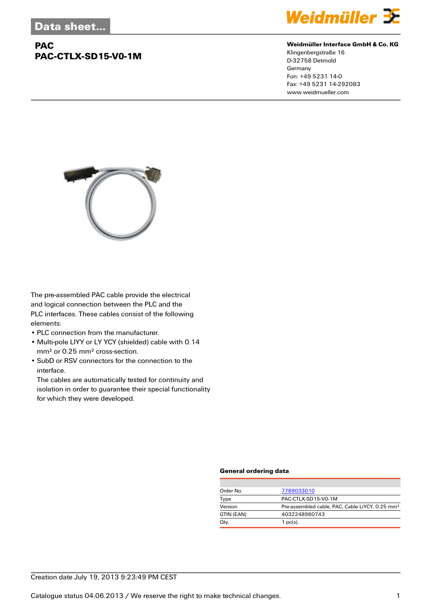## **PAC PAC-CTLX-SD15-V0-1M**



#### **Weidmüller Interface GmbH & Co. KG**

Klingenbergstraße 16 D-32758 Detmold Germany Fon: +49 5231 14-0 Fax: +49 5231 14-292083 www.weidmueller.com



The pre-assembled PAC cable provide the electrical and logical connection between the PLC and the PLC interfaces. These cables consist of the following elements:

- PLC connection from the manufacturer.
- Multi-pole LIYY or LY YCY (shielded) cable with 0.14 mm² or 0.25 mm² cross-section.
- SubD or RSV connectors for the connection to the interface.

The cables are automatically tested for continuity and isolation in order to guarantee their special functionality for which they were developed.

#### **General ordering data**

| Order No.  | 7789033010                                                  |  |  |
|------------|-------------------------------------------------------------|--|--|
| Type       | PAC-CTLX-SD15-V0-1M                                         |  |  |
| Version    | Pre-assembled cable, PAC, Cable LiYCY, 0.25 mm <sup>2</sup> |  |  |
| GTIN (EAN) | 4032248960743                                               |  |  |
| Qty.       | $1$ pc(s).                                                  |  |  |